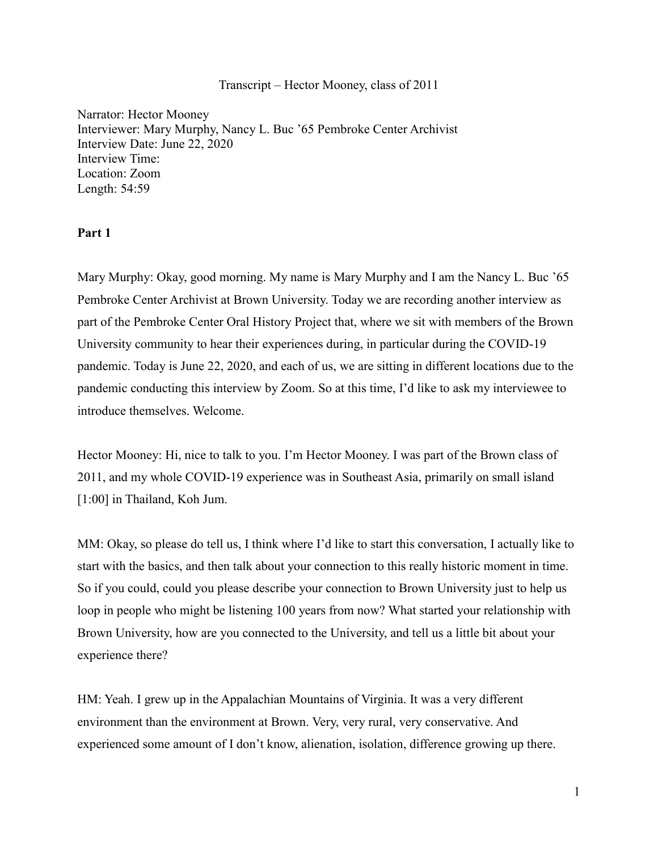# Transcript – Hector Mooney, class of 2011

Narrator: Hector Mooney Interviewer: Mary Murphy, Nancy L. Buc '65 Pembroke Center Archivist Interview Date: June 22, 2020 Interview Time: Location: Zoom Length: 54:59

# **Part 1**

Mary Murphy: Okay, good morning. My name is Mary Murphy and I am the Nancy L. Buc '65 Pembroke Center Archivist at Brown University. Today we are recording another interview as part of the Pembroke Center Oral History Project that, where we sit with members of the Brown University community to hear their experiences during, in particular during the COVID-19 pandemic. Today is June 22, 2020, and each of us, we are sitting in different locations due to the pandemic conducting this interview by Zoom. So at this time, I'd like to ask my interviewee to introduce themselves. Welcome.

Hector Mooney: Hi, nice to talk to you. I'm Hector Mooney. I was part of the Brown class of 2011, and my whole COVID-19 experience was in Southeast Asia, primarily on small island [1:00] in Thailand, Koh Jum.

MM: Okay, so please do tell us, I think where I'd like to start this conversation, I actually like to start with the basics, and then talk about your connection to this really historic moment in time. So if you could, could you please describe your connection to Brown University just to help us loop in people who might be listening 100 years from now? What started your relationship with Brown University, how are you connected to the University, and tell us a little bit about your experience there?

HM: Yeah. I grew up in the Appalachian Mountains of Virginia. It was a very different environment than the environment at Brown. Very, very rural, very conservative. And experienced some amount of I don't know, alienation, isolation, difference growing up there.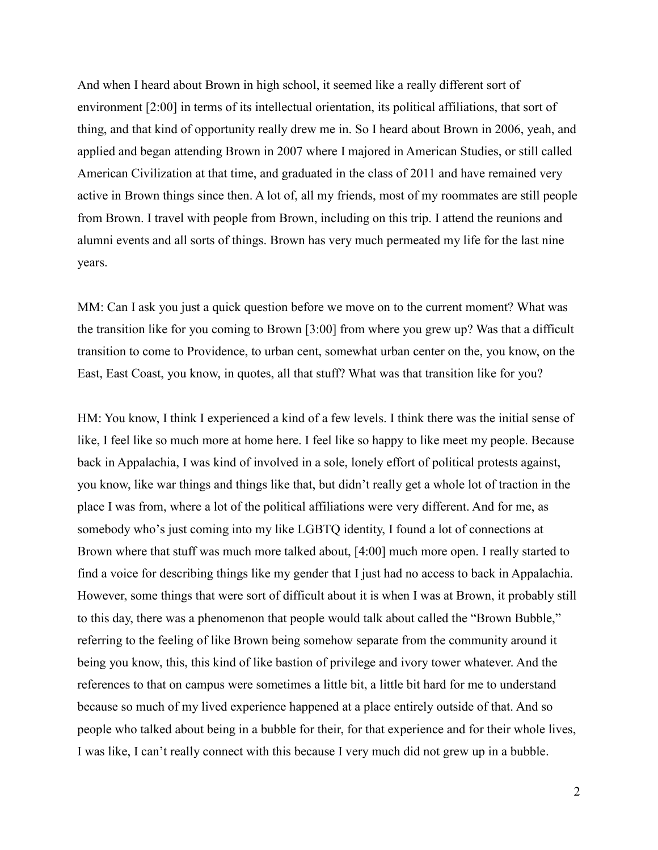And when I heard about Brown in high school, it seemed like a really different sort of environment [2:00] in terms of its intellectual orientation, its political affiliations, that sort of thing, and that kind of opportunity really drew me in. So I heard about Brown in 2006, yeah, and applied and began attending Brown in 2007 where I majored in American Studies, or still called American Civilization at that time, and graduated in the class of 2011 and have remained very active in Brown things since then. A lot of, all my friends, most of my roommates are still people from Brown. I travel with people from Brown, including on this trip. I attend the reunions and alumni events and all sorts of things. Brown has very much permeated my life for the last nine years.

MM: Can I ask you just a quick question before we move on to the current moment? What was the transition like for you coming to Brown [3:00] from where you grew up? Was that a difficult transition to come to Providence, to urban cent, somewhat urban center on the, you know, on the East, East Coast, you know, in quotes, all that stuff? What was that transition like for you?

HM: You know, I think I experienced a kind of a few levels. I think there was the initial sense of like, I feel like so much more at home here. I feel like so happy to like meet my people. Because back in Appalachia, I was kind of involved in a sole, lonely effort of political protests against, you know, like war things and things like that, but didn't really get a whole lot of traction in the place I was from, where a lot of the political affiliations were very different. And for me, as somebody who's just coming into my like LGBTQ identity, I found a lot of connections at Brown where that stuff was much more talked about, [4:00] much more open. I really started to find a voice for describing things like my gender that I just had no access to back in Appalachia. However, some things that were sort of difficult about it is when I was at Brown, it probably still to this day, there was a phenomenon that people would talk about called the "Brown Bubble," referring to the feeling of like Brown being somehow separate from the community around it being you know, this, this kind of like bastion of privilege and ivory tower whatever. And the references to that on campus were sometimes a little bit, a little bit hard for me to understand because so much of my lived experience happened at a place entirely outside of that. And so people who talked about being in a bubble for their, for that experience and for their whole lives, I was like, I can't really connect with this because I very much did not grew up in a bubble.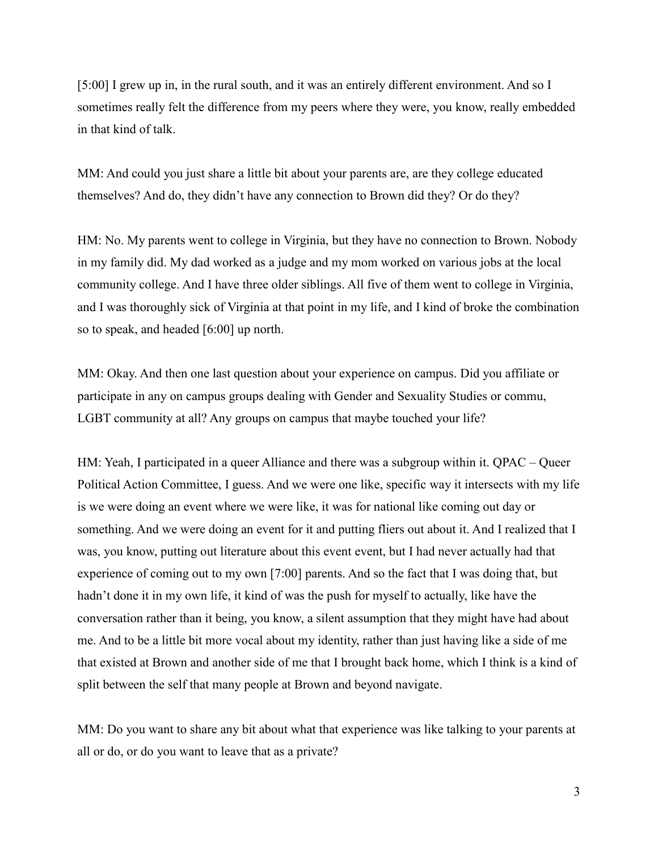[5:00] I grew up in, in the rural south, and it was an entirely different environment. And so I sometimes really felt the difference from my peers where they were, you know, really embedded in that kind of talk.

MM: And could you just share a little bit about your parents are, are they college educated themselves? And do, they didn't have any connection to Brown did they? Or do they?

HM: No. My parents went to college in Virginia, but they have no connection to Brown. Nobody in my family did. My dad worked as a judge and my mom worked on various jobs at the local community college. And I have three older siblings. All five of them went to college in Virginia, and I was thoroughly sick of Virginia at that point in my life, and I kind of broke the combination so to speak, and headed [6:00] up north.

MM: Okay. And then one last question about your experience on campus. Did you affiliate or participate in any on campus groups dealing with Gender and Sexuality Studies or commu, LGBT community at all? Any groups on campus that maybe touched your life?

HM: Yeah, I participated in a queer Alliance and there was a subgroup within it. QPAC – Queer Political Action Committee, I guess. And we were one like, specific way it intersects with my life is we were doing an event where we were like, it was for national like coming out day or something. And we were doing an event for it and putting fliers out about it. And I realized that I was, you know, putting out literature about this event event, but I had never actually had that experience of coming out to my own [7:00] parents. And so the fact that I was doing that, but hadn't done it in my own life, it kind of was the push for myself to actually, like have the conversation rather than it being, you know, a silent assumption that they might have had about me. And to be a little bit more vocal about my identity, rather than just having like a side of me that existed at Brown and another side of me that I brought back home, which I think is a kind of split between the self that many people at Brown and beyond navigate.

MM: Do you want to share any bit about what that experience was like talking to your parents at all or do, or do you want to leave that as a private?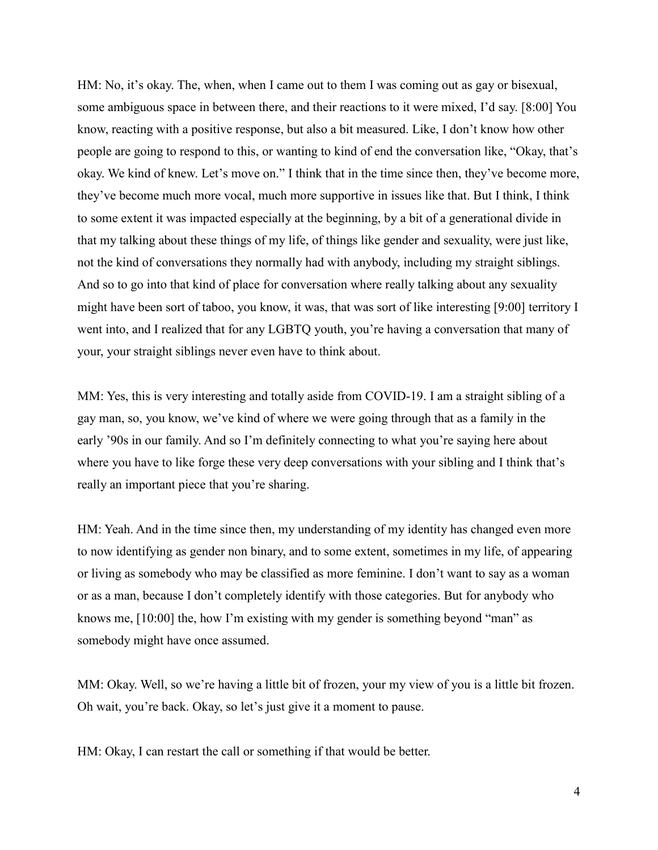HM: No, it's okay. The, when, when I came out to them I was coming out as gay or bisexual, some ambiguous space in between there, and their reactions to it were mixed, I'd say. [8:00] You know, reacting with a positive response, but also a bit measured. Like, I don't know how other people are going to respond to this, or wanting to kind of end the conversation like, "Okay, that's okay. We kind of knew. Let's move on." I think that in the time since then, they've become more, they've become much more vocal, much more supportive in issues like that. But I think, I think to some extent it was impacted especially at the beginning, by a bit of a generational divide in that my talking about these things of my life, of things like gender and sexuality, were just like, not the kind of conversations they normally had with anybody, including my straight siblings. And so to go into that kind of place for conversation where really talking about any sexuality might have been sort of taboo, you know, it was, that was sort of like interesting [9:00] territory I went into, and I realized that for any LGBTQ youth, you're having a conversation that many of your, your straight siblings never even have to think about.

MM: Yes, this is very interesting and totally aside from COVID-19. I am a straight sibling of a gay man, so, you know, we've kind of where we were going through that as a family in the early '90s in our family. And so I'm definitely connecting to what you're saying here about where you have to like forge these very deep conversations with your sibling and I think that's really an important piece that you're sharing.

HM: Yeah. And in the time since then, my understanding of my identity has changed even more to now identifying as gender non binary, and to some extent, sometimes in my life, of appearing or living as somebody who may be classified as more feminine. I don't want to say as a woman or as a man, because I don't completely identify with those categories. But for anybody who knows me, [10:00] the, how I'm existing with my gender is something beyond "man" as somebody might have once assumed.

MM: Okay. Well, so we're having a little bit of frozen, your my view of you is a little bit frozen. Oh wait, you're back. Okay, so let's just give it a moment to pause.

HM: Okay, I can restart the call or something if that would be better.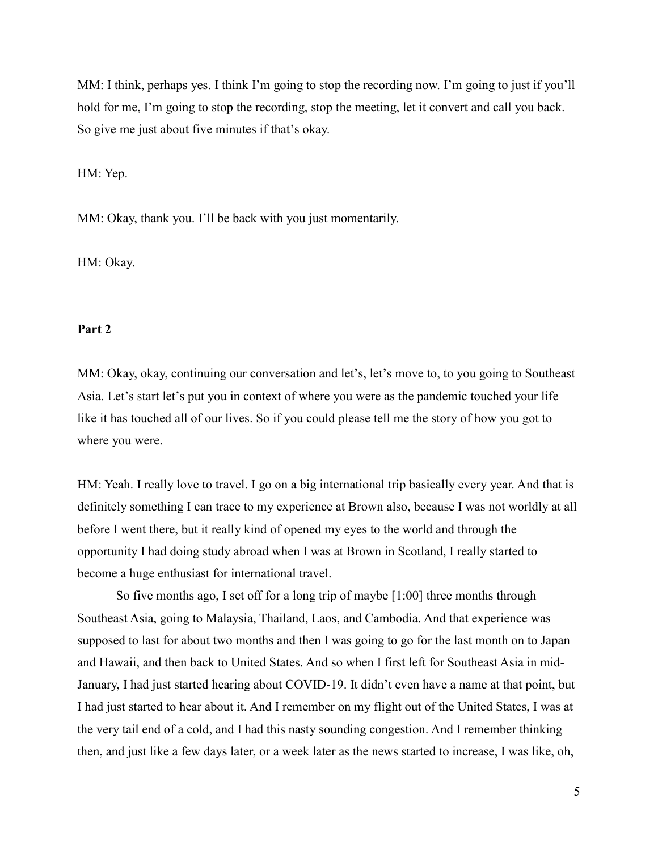MM: I think, perhaps yes. I think I'm going to stop the recording now. I'm going to just if you'll hold for me, I'm going to stop the recording, stop the meeting, let it convert and call you back. So give me just about five minutes if that's okay.

HM: Yep.

MM: Okay, thank you. I'll be back with you just momentarily.

HM: Okay.

# **Part 2**

MM: Okay, okay, continuing our conversation and let's, let's move to, to you going to Southeast Asia. Let's start let's put you in context of where you were as the pandemic touched your life like it has touched all of our lives. So if you could please tell me the story of how you got to where you were.

HM: Yeah. I really love to travel. I go on a big international trip basically every year. And that is definitely something I can trace to my experience at Brown also, because I was not worldly at all before I went there, but it really kind of opened my eyes to the world and through the opportunity I had doing study abroad when I was at Brown in Scotland, I really started to become a huge enthusiast for international travel.

So five months ago, I set off for a long trip of maybe [1:00] three months through Southeast Asia, going to Malaysia, Thailand, Laos, and Cambodia. And that experience was supposed to last for about two months and then I was going to go for the last month on to Japan and Hawaii, and then back to United States. And so when I first left for Southeast Asia in mid-January, I had just started hearing about COVID-19. It didn't even have a name at that point, but I had just started to hear about it. And I remember on my flight out of the United States, I was at the very tail end of a cold, and I had this nasty sounding congestion. And I remember thinking then, and just like a few days later, or a week later as the news started to increase, I was like, oh,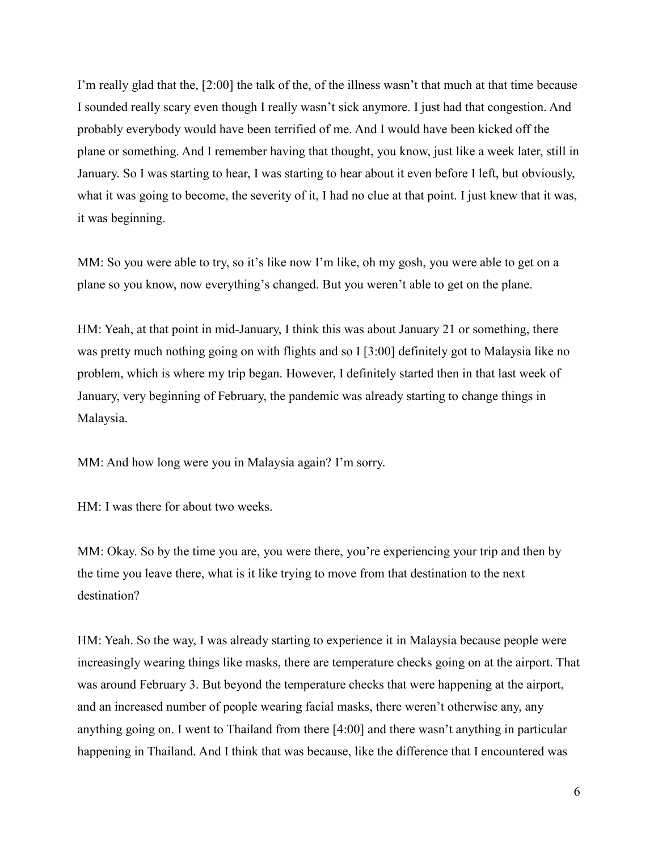I'm really glad that the, [2:00] the talk of the, of the illness wasn't that much at that time because I sounded really scary even though I really wasn't sick anymore. I just had that congestion. And probably everybody would have been terrified of me. And I would have been kicked off the plane or something. And I remember having that thought, you know, just like a week later, still in January. So I was starting to hear, I was starting to hear about it even before I left, but obviously, what it was going to become, the severity of it, I had no clue at that point. I just knew that it was, it was beginning.

MM: So you were able to try, so it's like now I'm like, oh my gosh, you were able to get on a plane so you know, now everything's changed. But you weren't able to get on the plane.

HM: Yeah, at that point in mid-January, I think this was about January 21 or something, there was pretty much nothing going on with flights and so I [3:00] definitely got to Malaysia like no problem, which is where my trip began. However, I definitely started then in that last week of January, very beginning of February, the pandemic was already starting to change things in Malaysia.

MM: And how long were you in Malaysia again? I'm sorry.

HM: I was there for about two weeks.

MM: Okay. So by the time you are, you were there, you're experiencing your trip and then by the time you leave there, what is it like trying to move from that destination to the next destination?

HM: Yeah. So the way, I was already starting to experience it in Malaysia because people were increasingly wearing things like masks, there are temperature checks going on at the airport. That was around February 3. But beyond the temperature checks that were happening at the airport, and an increased number of people wearing facial masks, there weren't otherwise any, any anything going on. I went to Thailand from there [4:00] and there wasn't anything in particular happening in Thailand. And I think that was because, like the difference that I encountered was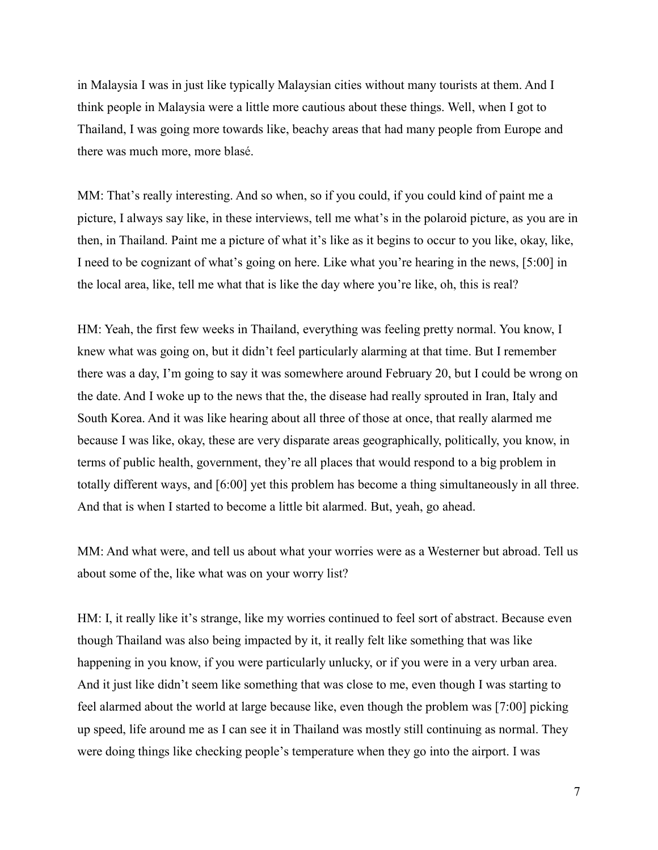in Malaysia I was in just like typically Malaysian cities without many tourists at them. And I think people in Malaysia were a little more cautious about these things. Well, when I got to Thailand, I was going more towards like, beachy areas that had many people from Europe and there was much more, more blasé.

MM: That's really interesting. And so when, so if you could, if you could kind of paint me a picture, I always say like, in these interviews, tell me what's in the polaroid picture, as you are in then, in Thailand. Paint me a picture of what it's like as it begins to occur to you like, okay, like, I need to be cognizant of what's going on here. Like what you're hearing in the news, [5:00] in the local area, like, tell me what that is like the day where you're like, oh, this is real?

HM: Yeah, the first few weeks in Thailand, everything was feeling pretty normal. You know, I knew what was going on, but it didn't feel particularly alarming at that time. But I remember there was a day, I'm going to say it was somewhere around February 20, but I could be wrong on the date. And I woke up to the news that the, the disease had really sprouted in Iran, Italy and South Korea. And it was like hearing about all three of those at once, that really alarmed me because I was like, okay, these are very disparate areas geographically, politically, you know, in terms of public health, government, they're all places that would respond to a big problem in totally different ways, and [6:00] yet this problem has become a thing simultaneously in all three. And that is when I started to become a little bit alarmed. But, yeah, go ahead.

MM: And what were, and tell us about what your worries were as a Westerner but abroad. Tell us about some of the, like what was on your worry list?

HM: I, it really like it's strange, like my worries continued to feel sort of abstract. Because even though Thailand was also being impacted by it, it really felt like something that was like happening in you know, if you were particularly unlucky, or if you were in a very urban area. And it just like didn't seem like something that was close to me, even though I was starting to feel alarmed about the world at large because like, even though the problem was [7:00] picking up speed, life around me as I can see it in Thailand was mostly still continuing as normal. They were doing things like checking people's temperature when they go into the airport. I was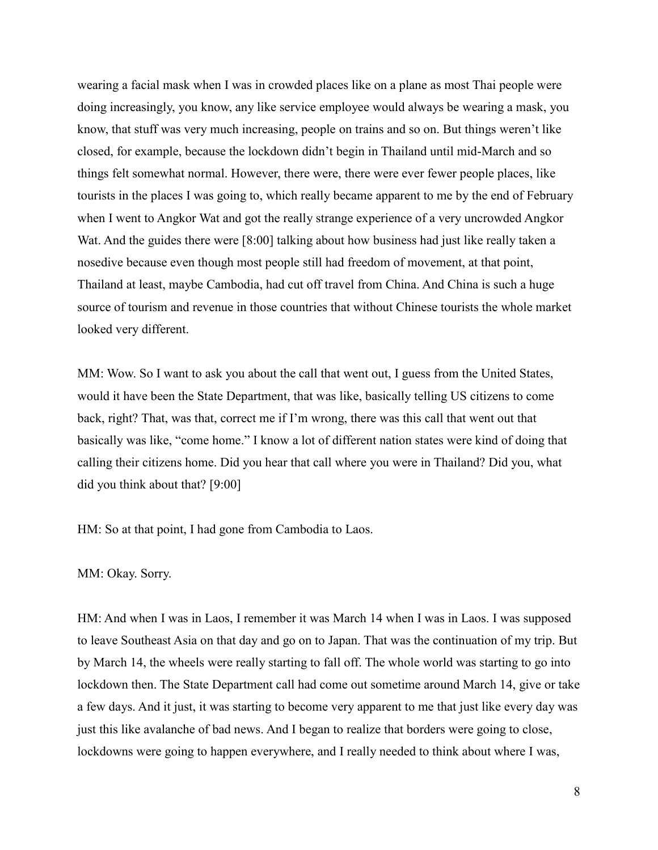wearing a facial mask when I was in crowded places like on a plane as most Thai people were doing increasingly, you know, any like service employee would always be wearing a mask, you know, that stuff was very much increasing, people on trains and so on. But things weren't like closed, for example, because the lockdown didn't begin in Thailand until mid-March and so things felt somewhat normal. However, there were, there were ever fewer people places, like tourists in the places I was going to, which really became apparent to me by the end of February when I went to Angkor Wat and got the really strange experience of a very uncrowded Angkor Wat. And the guides there were [8:00] talking about how business had just like really taken a nosedive because even though most people still had freedom of movement, at that point, Thailand at least, maybe Cambodia, had cut off travel from China. And China is such a huge source of tourism and revenue in those countries that without Chinese tourists the whole market looked very different.

MM: Wow. So I want to ask you about the call that went out, I guess from the United States, would it have been the State Department, that was like, basically telling US citizens to come back, right? That, was that, correct me if I'm wrong, there was this call that went out that basically was like, "come home." I know a lot of different nation states were kind of doing that calling their citizens home. Did you hear that call where you were in Thailand? Did you, what did you think about that? [9:00]

HM: So at that point, I had gone from Cambodia to Laos.

### MM: Okay. Sorry.

HM: And when I was in Laos, I remember it was March 14 when I was in Laos. I was supposed to leave Southeast Asia on that day and go on to Japan. That was the continuation of my trip. But by March 14, the wheels were really starting to fall off. The whole world was starting to go into lockdown then. The State Department call had come out sometime around March 14, give or take a few days. And it just, it was starting to become very apparent to me that just like every day was just this like avalanche of bad news. And I began to realize that borders were going to close, lockdowns were going to happen everywhere, and I really needed to think about where I was,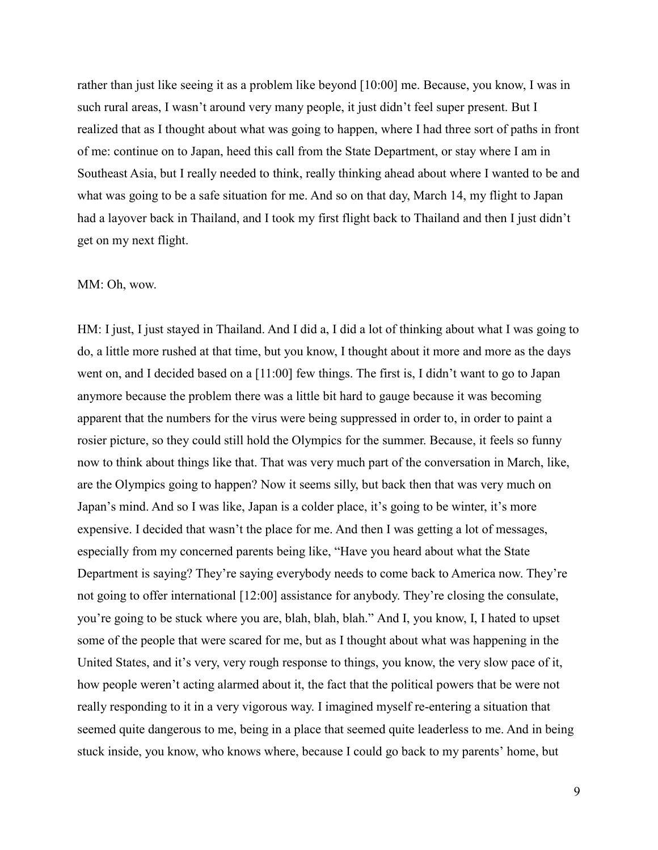rather than just like seeing it as a problem like beyond [10:00] me. Because, you know, I was in such rural areas, I wasn't around very many people, it just didn't feel super present. But I realized that as I thought about what was going to happen, where I had three sort of paths in front of me: continue on to Japan, heed this call from the State Department, or stay where I am in Southeast Asia, but I really needed to think, really thinking ahead about where I wanted to be and what was going to be a safe situation for me. And so on that day, March 14, my flight to Japan had a layover back in Thailand, and I took my first flight back to Thailand and then I just didn't get on my next flight.

# MM: Oh, wow.

HM: I just, I just stayed in Thailand. And I did a, I did a lot of thinking about what I was going to do, a little more rushed at that time, but you know, I thought about it more and more as the days went on, and I decided based on a [11:00] few things. The first is, I didn't want to go to Japan anymore because the problem there was a little bit hard to gauge because it was becoming apparent that the numbers for the virus were being suppressed in order to, in order to paint a rosier picture, so they could still hold the Olympics for the summer. Because, it feels so funny now to think about things like that. That was very much part of the conversation in March, like, are the Olympics going to happen? Now it seems silly, but back then that was very much on Japan's mind. And so I was like, Japan is a colder place, it's going to be winter, it's more expensive. I decided that wasn't the place for me. And then I was getting a lot of messages, especially from my concerned parents being like, "Have you heard about what the State Department is saying? They're saying everybody needs to come back to America now. They're not going to offer international [12:00] assistance for anybody. They're closing the consulate, you're going to be stuck where you are, blah, blah, blah." And I, you know, I, I hated to upset some of the people that were scared for me, but as I thought about what was happening in the United States, and it's very, very rough response to things, you know, the very slow pace of it, how people weren't acting alarmed about it, the fact that the political powers that be were not really responding to it in a very vigorous way. I imagined myself re-entering a situation that seemed quite dangerous to me, being in a place that seemed quite leaderless to me. And in being stuck inside, you know, who knows where, because I could go back to my parents' home, but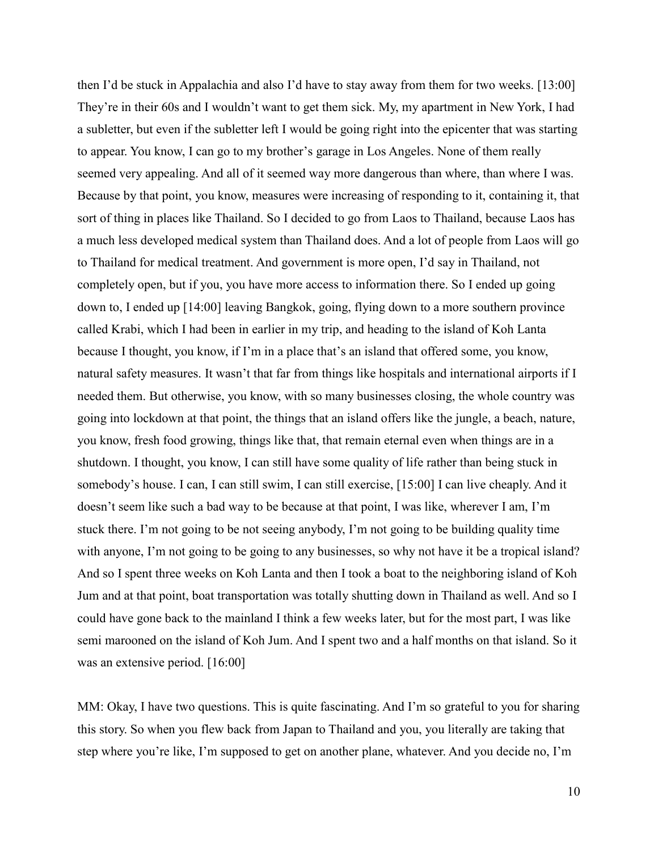then I'd be stuck in Appalachia and also I'd have to stay away from them for two weeks. [13:00] They're in their 60s and I wouldn't want to get them sick. My, my apartment in New York, I had a subletter, but even if the subletter left I would be going right into the epicenter that was starting to appear. You know, I can go to my brother's garage in Los Angeles. None of them really seemed very appealing. And all of it seemed way more dangerous than where, than where I was. Because by that point, you know, measures were increasing of responding to it, containing it, that sort of thing in places like Thailand. So I decided to go from Laos to Thailand, because Laos has a much less developed medical system than Thailand does. And a lot of people from Laos will go to Thailand for medical treatment. And government is more open, I'd say in Thailand, not completely open, but if you, you have more access to information there. So I ended up going down to, I ended up [14:00] leaving Bangkok, going, flying down to a more southern province called Krabi, which I had been in earlier in my trip, and heading to the island of Koh Lanta because I thought, you know, if I'm in a place that's an island that offered some, you know, natural safety measures. It wasn't that far from things like hospitals and international airports if I needed them. But otherwise, you know, with so many businesses closing, the whole country was going into lockdown at that point, the things that an island offers like the jungle, a beach, nature, you know, fresh food growing, things like that, that remain eternal even when things are in a shutdown. I thought, you know, I can still have some quality of life rather than being stuck in somebody's house. I can, I can still swim, I can still exercise, [15:00] I can live cheaply. And it doesn't seem like such a bad way to be because at that point, I was like, wherever I am, I'm stuck there. I'm not going to be not seeing anybody, I'm not going to be building quality time with anyone, I'm not going to be going to any businesses, so why not have it be a tropical island? And so I spent three weeks on Koh Lanta and then I took a boat to the neighboring island of Koh Jum and at that point, boat transportation was totally shutting down in Thailand as well. And so I could have gone back to the mainland I think a few weeks later, but for the most part, I was like semi marooned on the island of Koh Jum. And I spent two and a half months on that island. So it was an extensive period. [16:00]

MM: Okay, I have two questions. This is quite fascinating. And I'm so grateful to you for sharing this story. So when you flew back from Japan to Thailand and you, you literally are taking that step where you're like, I'm supposed to get on another plane, whatever. And you decide no, I'm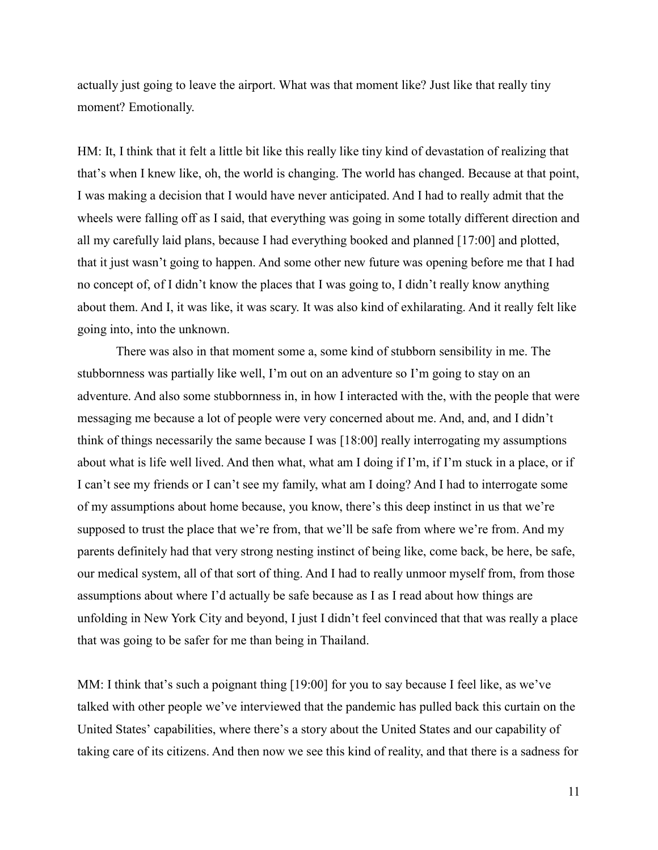actually just going to leave the airport. What was that moment like? Just like that really tiny moment? Emotionally.

HM: It, I think that it felt a little bit like this really like tiny kind of devastation of realizing that that's when I knew like, oh, the world is changing. The world has changed. Because at that point, I was making a decision that I would have never anticipated. And I had to really admit that the wheels were falling off as I said, that everything was going in some totally different direction and all my carefully laid plans, because I had everything booked and planned [17:00] and plotted, that it just wasn't going to happen. And some other new future was opening before me that I had no concept of, of I didn't know the places that I was going to, I didn't really know anything about them. And I, it was like, it was scary. It was also kind of exhilarating. And it really felt like going into, into the unknown.

There was also in that moment some a, some kind of stubborn sensibility in me. The stubbornness was partially like well, I'm out on an adventure so I'm going to stay on an adventure. And also some stubbornness in, in how I interacted with the, with the people that were messaging me because a lot of people were very concerned about me. And, and, and I didn't think of things necessarily the same because I was [18:00] really interrogating my assumptions about what is life well lived. And then what, what am I doing if I'm, if I'm stuck in a place, or if I can't see my friends or I can't see my family, what am I doing? And I had to interrogate some of my assumptions about home because, you know, there's this deep instinct in us that we're supposed to trust the place that we're from, that we'll be safe from where we're from. And my parents definitely had that very strong nesting instinct of being like, come back, be here, be safe, our medical system, all of that sort of thing. And I had to really unmoor myself from, from those assumptions about where I'd actually be safe because as I as I read about how things are unfolding in New York City and beyond, I just I didn't feel convinced that that was really a place that was going to be safer for me than being in Thailand.

MM: I think that's such a poignant thing [19:00] for you to say because I feel like, as we've talked with other people we've interviewed that the pandemic has pulled back this curtain on the United States' capabilities, where there's a story about the United States and our capability of taking care of its citizens. And then now we see this kind of reality, and that there is a sadness for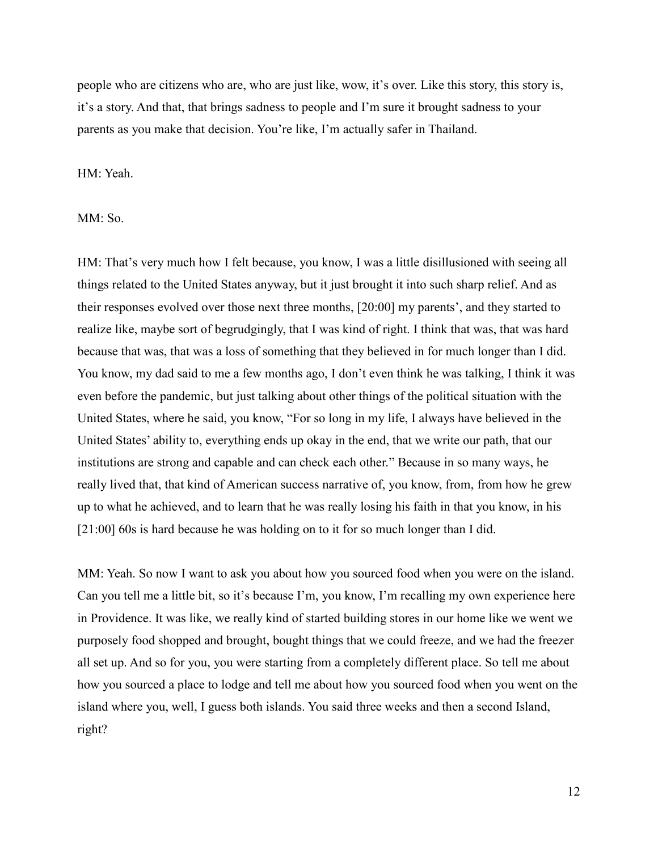people who are citizens who are, who are just like, wow, it's over. Like this story, this story is, it's a story. And that, that brings sadness to people and I'm sure it brought sadness to your parents as you make that decision. You're like, I'm actually safer in Thailand.

HM: Yeah.

MM: So.

HM: That's very much how I felt because, you know, I was a little disillusioned with seeing all things related to the United States anyway, but it just brought it into such sharp relief. And as their responses evolved over those next three months, [20:00] my parents', and they started to realize like, maybe sort of begrudgingly, that I was kind of right. I think that was, that was hard because that was, that was a loss of something that they believed in for much longer than I did. You know, my dad said to me a few months ago, I don't even think he was talking, I think it was even before the pandemic, but just talking about other things of the political situation with the United States, where he said, you know, "For so long in my life, I always have believed in the United States' ability to, everything ends up okay in the end, that we write our path, that our institutions are strong and capable and can check each other." Because in so many ways, he really lived that, that kind of American success narrative of, you know, from, from how he grew up to what he achieved, and to learn that he was really losing his faith in that you know, in his [21:00] 60s is hard because he was holding on to it for so much longer than I did.

MM: Yeah. So now I want to ask you about how you sourced food when you were on the island. Can you tell me a little bit, so it's because I'm, you know, I'm recalling my own experience here in Providence. It was like, we really kind of started building stores in our home like we went we purposely food shopped and brought, bought things that we could freeze, and we had the freezer all set up. And so for you, you were starting from a completely different place. So tell me about how you sourced a place to lodge and tell me about how you sourced food when you went on the island where you, well, I guess both islands. You said three weeks and then a second Island, right?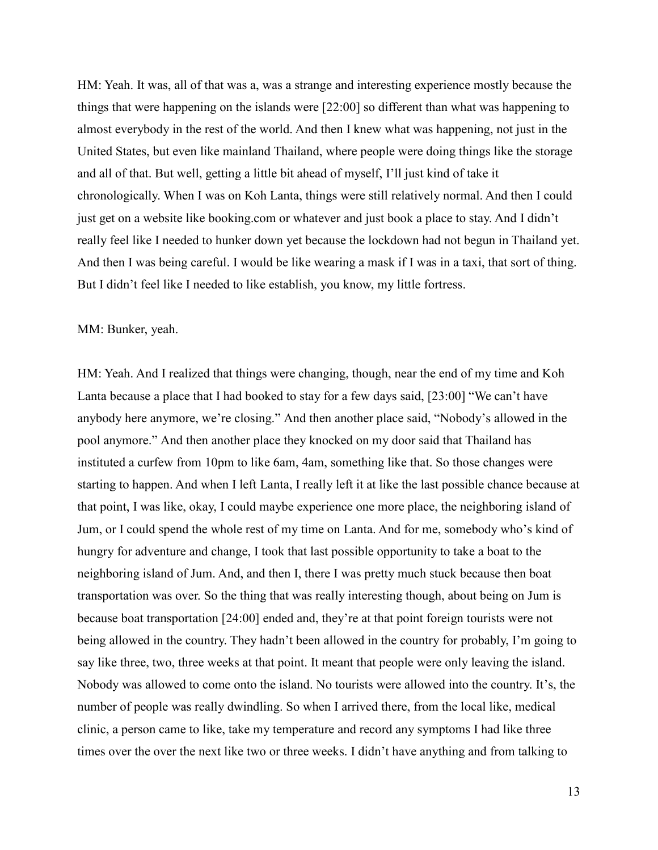HM: Yeah. It was, all of that was a, was a strange and interesting experience mostly because the things that were happening on the islands were [22:00] so different than what was happening to almost everybody in the rest of the world. And then I knew what was happening, not just in the United States, but even like mainland Thailand, where people were doing things like the storage and all of that. But well, getting a little bit ahead of myself, I'll just kind of take it chronologically. When I was on Koh Lanta, things were still relatively normal. And then I could just get on a website like booking.com or whatever and just book a place to stay. And I didn't really feel like I needed to hunker down yet because the lockdown had not begun in Thailand yet. And then I was being careful. I would be like wearing a mask if I was in a taxi, that sort of thing. But I didn't feel like I needed to like establish, you know, my little fortress.

#### MM: Bunker, yeah.

HM: Yeah. And I realized that things were changing, though, near the end of my time and Koh Lanta because a place that I had booked to stay for a few days said, [23:00] "We can't have anybody here anymore, we're closing." And then another place said, "Nobody's allowed in the pool anymore." And then another place they knocked on my door said that Thailand has instituted a curfew from 10pm to like 6am, 4am, something like that. So those changes were starting to happen. And when I left Lanta, I really left it at like the last possible chance because at that point, I was like, okay, I could maybe experience one more place, the neighboring island of Jum, or I could spend the whole rest of my time on Lanta. And for me, somebody who's kind of hungry for adventure and change, I took that last possible opportunity to take a boat to the neighboring island of Jum. And, and then I, there I was pretty much stuck because then boat transportation was over. So the thing that was really interesting though, about being on Jum is because boat transportation [24:00] ended and, they're at that point foreign tourists were not being allowed in the country. They hadn't been allowed in the country for probably, I'm going to say like three, two, three weeks at that point. It meant that people were only leaving the island. Nobody was allowed to come onto the island. No tourists were allowed into the country. It's, the number of people was really dwindling. So when I arrived there, from the local like, medical clinic, a person came to like, take my temperature and record any symptoms I had like three times over the over the next like two or three weeks. I didn't have anything and from talking to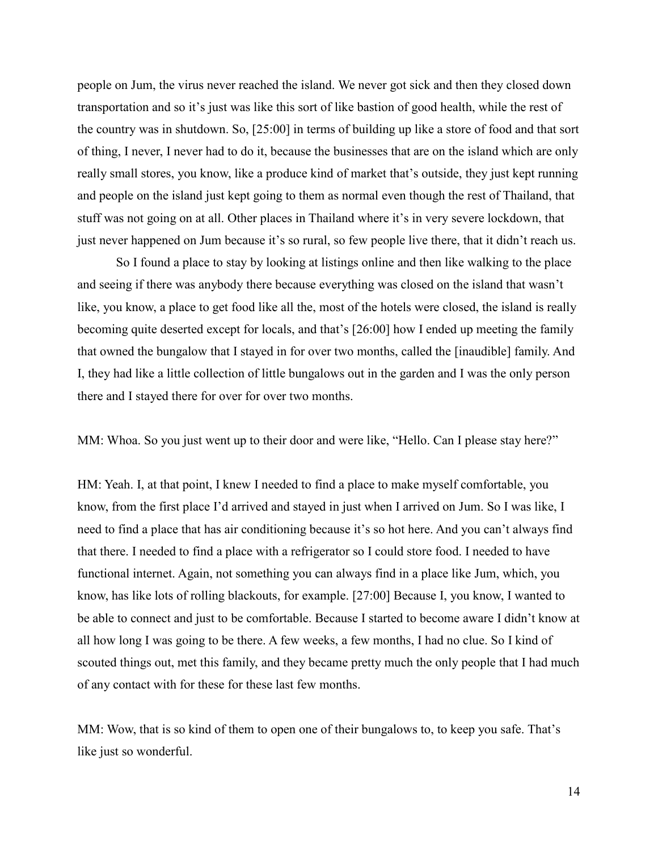people on Jum, the virus never reached the island. We never got sick and then they closed down transportation and so it's just was like this sort of like bastion of good health, while the rest of the country was in shutdown. So, [25:00] in terms of building up like a store of food and that sort of thing, I never, I never had to do it, because the businesses that are on the island which are only really small stores, you know, like a produce kind of market that's outside, they just kept running and people on the island just kept going to them as normal even though the rest of Thailand, that stuff was not going on at all. Other places in Thailand where it's in very severe lockdown, that just never happened on Jum because it's so rural, so few people live there, that it didn't reach us.

So I found a place to stay by looking at listings online and then like walking to the place and seeing if there was anybody there because everything was closed on the island that wasn't like, you know, a place to get food like all the, most of the hotels were closed, the island is really becoming quite deserted except for locals, and that's [26:00] how I ended up meeting the family that owned the bungalow that I stayed in for over two months, called the [inaudible] family. And I, they had like a little collection of little bungalows out in the garden and I was the only person there and I stayed there for over for over two months.

MM: Whoa. So you just went up to their door and were like, "Hello. Can I please stay here?"

HM: Yeah. I, at that point, I knew I needed to find a place to make myself comfortable, you know, from the first place I'd arrived and stayed in just when I arrived on Jum. So I was like, I need to find a place that has air conditioning because it's so hot here. And you can't always find that there. I needed to find a place with a refrigerator so I could store food. I needed to have functional internet. Again, not something you can always find in a place like Jum, which, you know, has like lots of rolling blackouts, for example. [27:00] Because I, you know, I wanted to be able to connect and just to be comfortable. Because I started to become aware I didn't know at all how long I was going to be there. A few weeks, a few months, I had no clue. So I kind of scouted things out, met this family, and they became pretty much the only people that I had much of any contact with for these for these last few months.

MM: Wow, that is so kind of them to open one of their bungalows to, to keep you safe. That's like just so wonderful.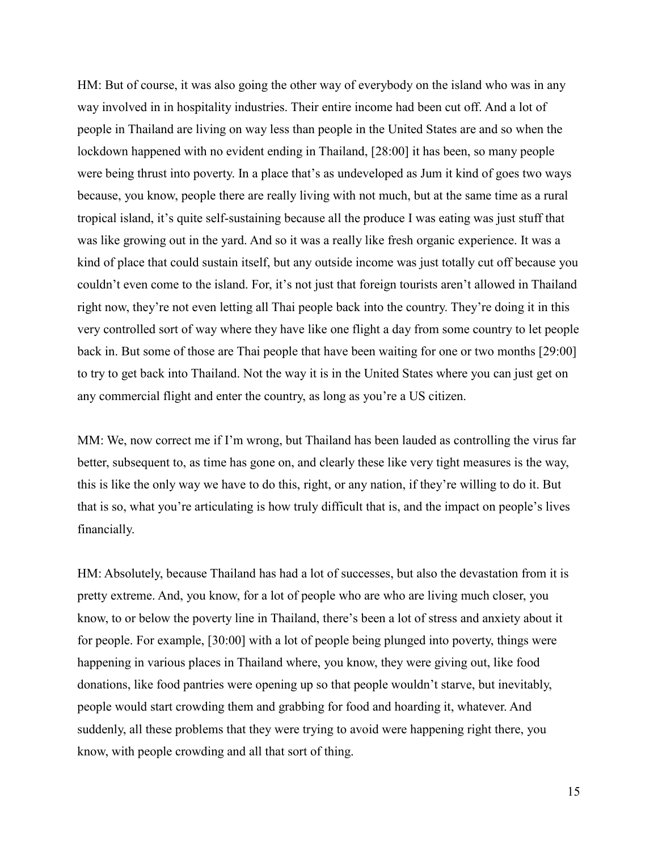HM: But of course, it was also going the other way of everybody on the island who was in any way involved in in hospitality industries. Their entire income had been cut off. And a lot of people in Thailand are living on way less than people in the United States are and so when the lockdown happened with no evident ending in Thailand, [28:00] it has been, so many people were being thrust into poverty. In a place that's as undeveloped as Jum it kind of goes two ways because, you know, people there are really living with not much, but at the same time as a rural tropical island, it's quite self-sustaining because all the produce I was eating was just stuff that was like growing out in the yard. And so it was a really like fresh organic experience. It was a kind of place that could sustain itself, but any outside income was just totally cut off because you couldn't even come to the island. For, it's not just that foreign tourists aren't allowed in Thailand right now, they're not even letting all Thai people back into the country. They're doing it in this very controlled sort of way where they have like one flight a day from some country to let people back in. But some of those are Thai people that have been waiting for one or two months [29:00] to try to get back into Thailand. Not the way it is in the United States where you can just get on any commercial flight and enter the country, as long as you're a US citizen.

MM: We, now correct me if I'm wrong, but Thailand has been lauded as controlling the virus far better, subsequent to, as time has gone on, and clearly these like very tight measures is the way, this is like the only way we have to do this, right, or any nation, if they're willing to do it. But that is so, what you're articulating is how truly difficult that is, and the impact on people's lives financially.

HM: Absolutely, because Thailand has had a lot of successes, but also the devastation from it is pretty extreme. And, you know, for a lot of people who are who are living much closer, you know, to or below the poverty line in Thailand, there's been a lot of stress and anxiety about it for people. For example, [30:00] with a lot of people being plunged into poverty, things were happening in various places in Thailand where, you know, they were giving out, like food donations, like food pantries were opening up so that people wouldn't starve, but inevitably, people would start crowding them and grabbing for food and hoarding it, whatever. And suddenly, all these problems that they were trying to avoid were happening right there, you know, with people crowding and all that sort of thing.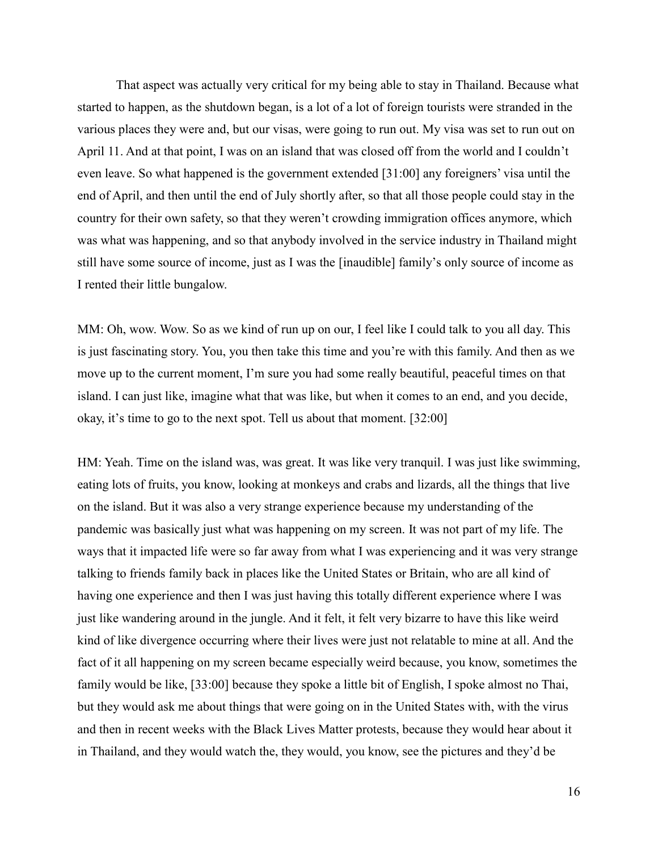That aspect was actually very critical for my being able to stay in Thailand. Because what started to happen, as the shutdown began, is a lot of a lot of foreign tourists were stranded in the various places they were and, but our visas, were going to run out. My visa was set to run out on April 11. And at that point, I was on an island that was closed off from the world and I couldn't even leave. So what happened is the government extended [31:00] any foreigners' visa until the end of April, and then until the end of July shortly after, so that all those people could stay in the country for their own safety, so that they weren't crowding immigration offices anymore, which was what was happening, and so that anybody involved in the service industry in Thailand might still have some source of income, just as I was the [inaudible] family's only source of income as I rented their little bungalow.

MM: Oh, wow. Wow. So as we kind of run up on our, I feel like I could talk to you all day. This is just fascinating story. You, you then take this time and you're with this family. And then as we move up to the current moment, I'm sure you had some really beautiful, peaceful times on that island. I can just like, imagine what that was like, but when it comes to an end, and you decide, okay, it's time to go to the next spot. Tell us about that moment. [32:00]

HM: Yeah. Time on the island was, was great. It was like very tranquil. I was just like swimming, eating lots of fruits, you know, looking at monkeys and crabs and lizards, all the things that live on the island. But it was also a very strange experience because my understanding of the pandemic was basically just what was happening on my screen. It was not part of my life. The ways that it impacted life were so far away from what I was experiencing and it was very strange talking to friends family back in places like the United States or Britain, who are all kind of having one experience and then I was just having this totally different experience where I was just like wandering around in the jungle. And it felt, it felt very bizarre to have this like weird kind of like divergence occurring where their lives were just not relatable to mine at all. And the fact of it all happening on my screen became especially weird because, you know, sometimes the family would be like, [33:00] because they spoke a little bit of English, I spoke almost no Thai, but they would ask me about things that were going on in the United States with, with the virus and then in recent weeks with the Black Lives Matter protests, because they would hear about it in Thailand, and they would watch the, they would, you know, see the pictures and they'd be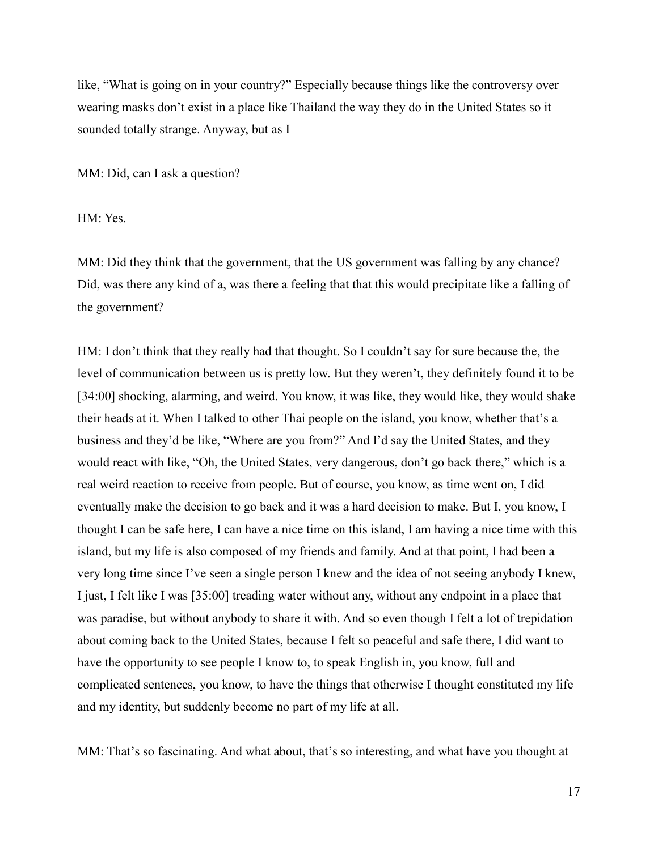like, "What is going on in your country?" Especially because things like the controversy over wearing masks don't exist in a place like Thailand the way they do in the United States so it sounded totally strange. Anyway, but as I –

MM: Did, can I ask a question?

HM: Yes.

MM: Did they think that the government, that the US government was falling by any chance? Did, was there any kind of a, was there a feeling that that this would precipitate like a falling of the government?

HM: I don't think that they really had that thought. So I couldn't say for sure because the, the level of communication between us is pretty low. But they weren't, they definitely found it to be [34:00] shocking, alarming, and weird. You know, it was like, they would like, they would shake their heads at it. When I talked to other Thai people on the island, you know, whether that's a business and they'd be like, "Where are you from?" And I'd say the United States, and they would react with like, "Oh, the United States, very dangerous, don't go back there," which is a real weird reaction to receive from people. But of course, you know, as time went on, I did eventually make the decision to go back and it was a hard decision to make. But I, you know, I thought I can be safe here, I can have a nice time on this island, I am having a nice time with this island, but my life is also composed of my friends and family. And at that point, I had been a very long time since I've seen a single person I knew and the idea of not seeing anybody I knew, I just, I felt like I was [35:00] treading water without any, without any endpoint in a place that was paradise, but without anybody to share it with. And so even though I felt a lot of trepidation about coming back to the United States, because I felt so peaceful and safe there, I did want to have the opportunity to see people I know to, to speak English in, you know, full and complicated sentences, you know, to have the things that otherwise I thought constituted my life and my identity, but suddenly become no part of my life at all.

MM: That's so fascinating. And what about, that's so interesting, and what have you thought at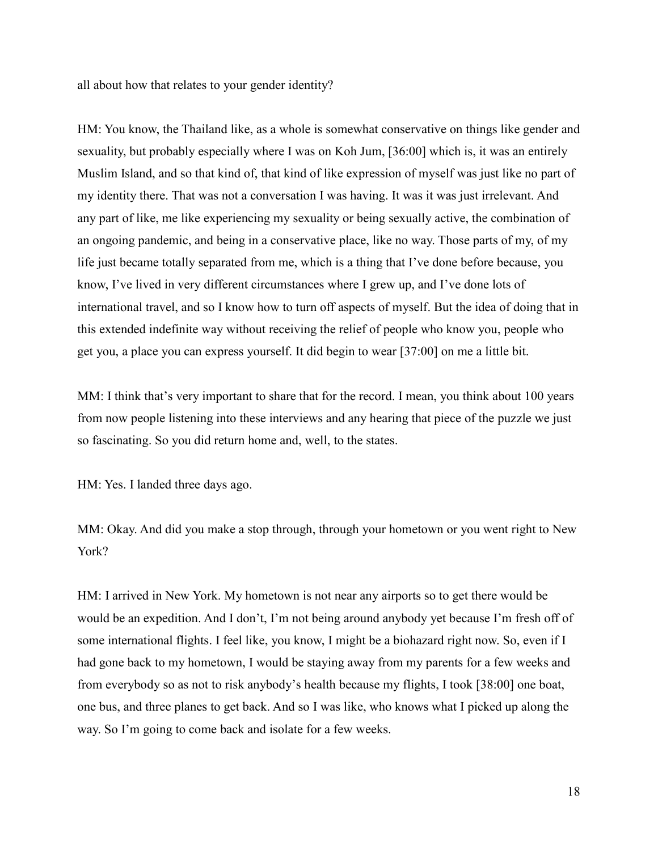all about how that relates to your gender identity?

HM: You know, the Thailand like, as a whole is somewhat conservative on things like gender and sexuality, but probably especially where I was on Koh Jum, [36:00] which is, it was an entirely Muslim Island, and so that kind of, that kind of like expression of myself was just like no part of my identity there. That was not a conversation I was having. It was it was just irrelevant. And any part of like, me like experiencing my sexuality or being sexually active, the combination of an ongoing pandemic, and being in a conservative place, like no way. Those parts of my, of my life just became totally separated from me, which is a thing that I've done before because, you know, I've lived in very different circumstances where I grew up, and I've done lots of international travel, and so I know how to turn off aspects of myself. But the idea of doing that in this extended indefinite way without receiving the relief of people who know you, people who get you, a place you can express yourself. It did begin to wear [37:00] on me a little bit.

MM: I think that's very important to share that for the record. I mean, you think about 100 years from now people listening into these interviews and any hearing that piece of the puzzle we just so fascinating. So you did return home and, well, to the states.

HM: Yes. I landed three days ago.

MM: Okay. And did you make a stop through, through your hometown or you went right to New York?

HM: I arrived in New York. My hometown is not near any airports so to get there would be would be an expedition. And I don't, I'm not being around anybody yet because I'm fresh off of some international flights. I feel like, you know, I might be a biohazard right now. So, even if I had gone back to my hometown, I would be staying away from my parents for a few weeks and from everybody so as not to risk anybody's health because my flights, I took [38:00] one boat, one bus, and three planes to get back. And so I was like, who knows what I picked up along the way. So I'm going to come back and isolate for a few weeks.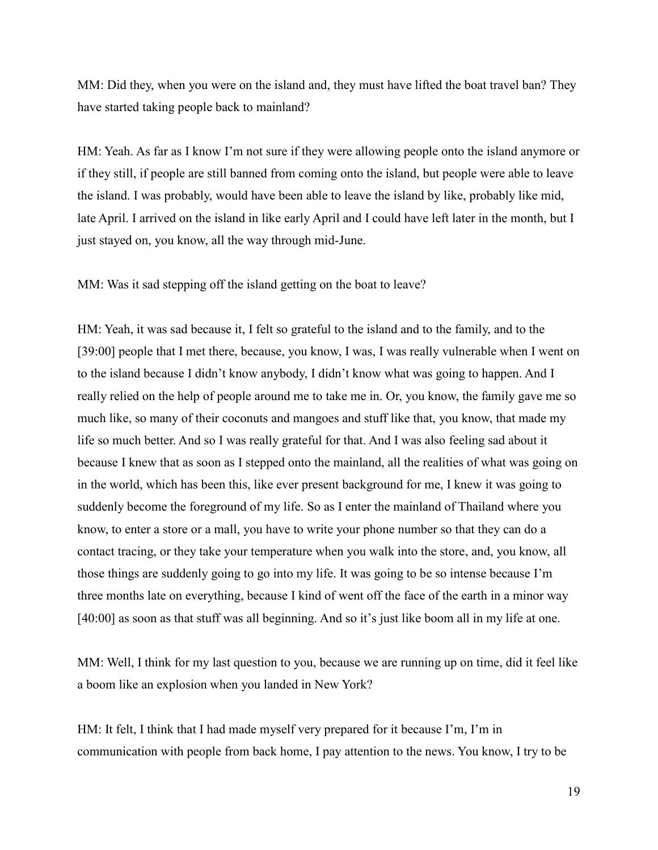MM: Did they, when you were on the island and, they must have lifted the boat travel ban? They have started taking people back to mainland?

HM: Yeah. As far as I know I'm not sure if they were allowing people onto the island anymore or if they still, if people are still banned from coming onto the island, but people were able to leave the island. I was probably, would have been able to leave the island by like, probably like mid, late April. I arrived on the island in like early April and I could have left later in the month, but I just stayed on, you know, all the way through mid-June.

MM: Was it sad stepping off the island getting on the boat to leave?

HM: Yeah, it was sad because it, I felt so grateful to the island and to the family, and to the [39:00] people that I met there, because, you know, I was, I was really vulnerable when I went on to the island because I didn't know anybody, I didn't know what was going to happen. And I really relied on the help of people around me to take me in. Or, you know, the family gave me so much like, so many of their coconuts and mangoes and stuff like that, you know, that made my life so much better. And so I was really grateful for that. And I was also feeling sad about it because I knew that as soon as I stepped onto the mainland, all the realities of what was going on in the world, which has been this, like ever present background for me, I knew it was going to suddenly become the foreground of my life. So as I enter the mainland of Thailand where you know, to enter a store or a mall, you have to write your phone number so that they can do a contact tracing, or they take your temperature when you walk into the store, and, you know, all those things are suddenly going to go into my life. It was going to be so intense because I'm three months late on everything, because I kind of went off the face of the earth in a minor way [40:00] as soon as that stuff was all beginning. And so it's just like boom all in my life at one.

MM: Well, I think for my last question to you, because we are running up on time, did it feel like a boom like an explosion when you landed in New York?

HM: It felt, I think that I had made myself very prepared for it because I'm, I'm in communication with people from back home, I pay attention to the news. You know, I try to be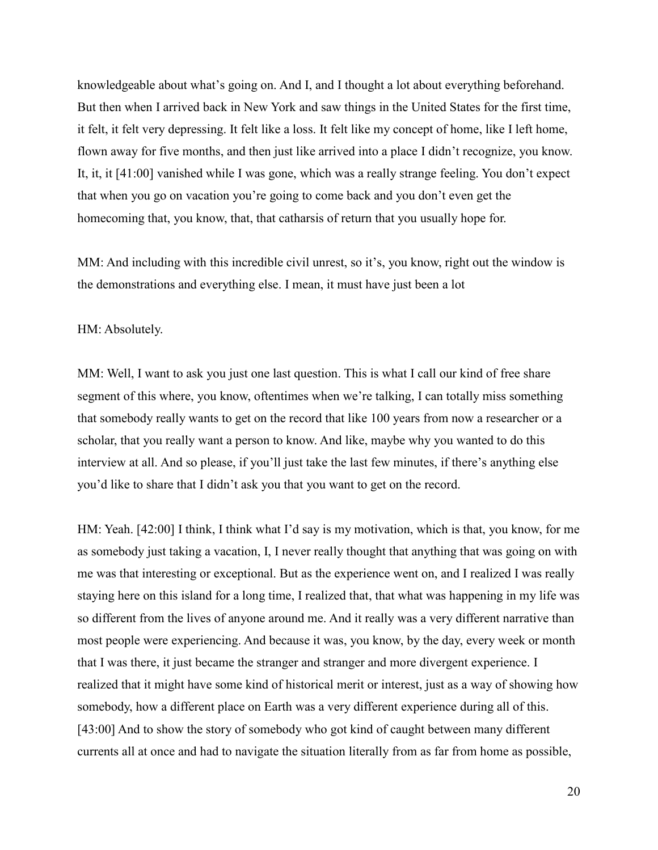knowledgeable about what's going on. And I, and I thought a lot about everything beforehand. But then when I arrived back in New York and saw things in the United States for the first time, it felt, it felt very depressing. It felt like a loss. It felt like my concept of home, like I left home, flown away for five months, and then just like arrived into a place I didn't recognize, you know. It, it, it [41:00] vanished while I was gone, which was a really strange feeling. You don't expect that when you go on vacation you're going to come back and you don't even get the homecoming that, you know, that, that catharsis of return that you usually hope for.

MM: And including with this incredible civil unrest, so it's, you know, right out the window is the demonstrations and everything else. I mean, it must have just been a lot

HM: Absolutely.

MM: Well, I want to ask you just one last question. This is what I call our kind of free share segment of this where, you know, oftentimes when we're talking, I can totally miss something that somebody really wants to get on the record that like 100 years from now a researcher or a scholar, that you really want a person to know. And like, maybe why you wanted to do this interview at all. And so please, if you'll just take the last few minutes, if there's anything else you'd like to share that I didn't ask you that you want to get on the record.

HM: Yeah. [42:00] I think, I think what I'd say is my motivation, which is that, you know, for me as somebody just taking a vacation, I, I never really thought that anything that was going on with me was that interesting or exceptional. But as the experience went on, and I realized I was really staying here on this island for a long time, I realized that, that what was happening in my life was so different from the lives of anyone around me. And it really was a very different narrative than most people were experiencing. And because it was, you know, by the day, every week or month that I was there, it just became the stranger and stranger and more divergent experience. I realized that it might have some kind of historical merit or interest, just as a way of showing how somebody, how a different place on Earth was a very different experience during all of this. [43:00] And to show the story of somebody who got kind of caught between many different currents all at once and had to navigate the situation literally from as far from home as possible,